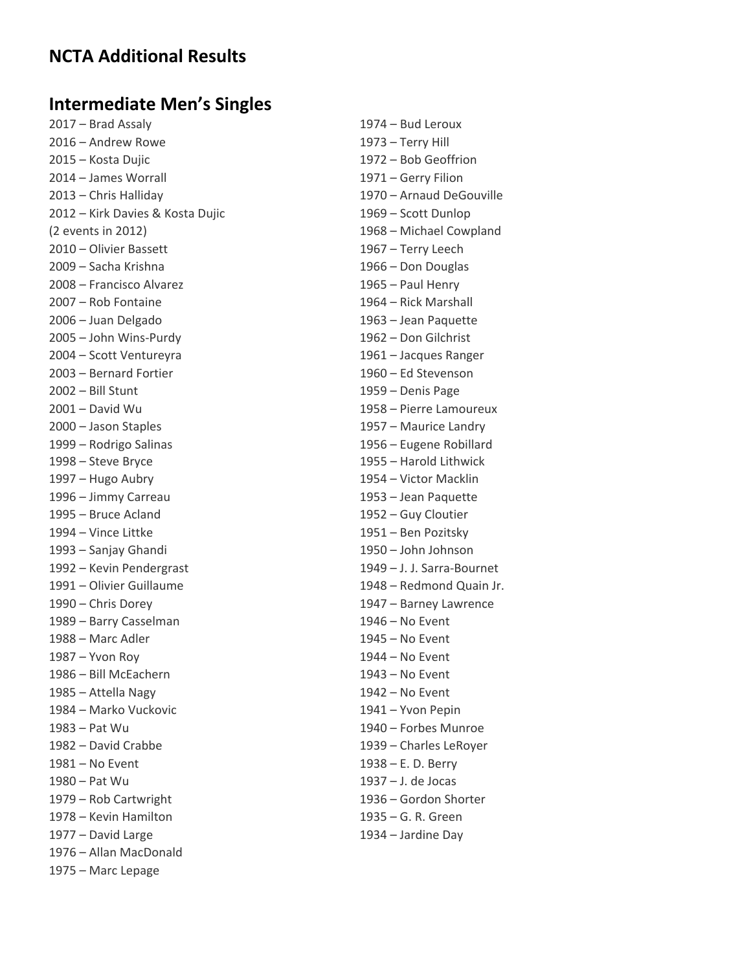### **NCTA Additional Results**

### **Intermediate Men's Singles**

2017 – Brad Assaly 1974 – Bud Leroux 2016 – Andrew Rowe 1973 – Terry Hill 2015 – Kosta Dujic 1972 – Bob Geoffrion 2014 – James Worrall 1971 – Gerry Filion 2012 – Kirk Davies & Kosta Dujic 1969 – Scott Dunlop (2 events in 2012) 1968 – Michael Cowpland 2010 – Olivier Bassett 1967 – Terry Leech 2009 – Sacha Krishna 1966 – Don Douglas 2008 – Francisco Alvarez 1965 – Paul Henry 2007 – Rob Fontaine 1964 – Rick Marshall 2006 – Juan Delgado 1963 – Jean Paquette 2005 – John Wins‐Purdy 1962 – Don Gilchrist 2004 – Scott Ventureyra 1961 – Jacques Ranger 2003 – Bernard Fortier 1960 – Ed Stevenson 2002 – Bill Stunt 1959 – Denis Page 2001 – David Wu 1958 – Pierre Lamoureux 2000 – Jason Staples 1957 – Maurice Landry 1999 – Rodrigo Salinas 1956 – Eugene Robillard 1998 – Steve Bryce 1955 – Harold Lithwick 1997 – Hugo Aubry 1954 – Victor Macklin 1996 – Jimmy Carreau 1953 – Jean Paquette 1995 – Bruce Acland 1952 – Guy Cloutier 1994 – Vince Littke 1951 – Ben Pozitsky 1993 – Sanjay Ghandi 1950 – John Johnson 1992 – Kevin Pendergrast 1949 – J. J. Sarra‐Bournet 1990 – Chris Dorey 1947 – Barney Lawrence 1989 – Barry Casselman 1946 – No Event 1988 – Marc Adler 1945 – No Event 1987 – Yvon Roy 1944 – No Event 1986 – Bill McEachern 1943 – No Event 1985 – Attella Nagy 1942 – No Event 1984 – Marko Vuckovic 1941 – Yvon Pepin 1983 – Pat Wu 1940 – Forbes Munroe 1982 – David Crabbe 1939 – Charles LeRoyer 1981 – No Event 1938 – E. D. Berry 1980 – Pat Wu 1937 – J. de Jocas 1979 – Rob Cartwright 1936 – Gordon Shorter 1978 – Kevin Hamilton 1935 – G. R. Green 1977 – David Large 1934 – Jardine Day 1976 – Allan MacDonald

1975 – Marc Lepage

2013 – Chris Halliday 1970 – Arnaud DeGouville 1991 – Olivier Guillaume 1948 – Redmond Quain Jr.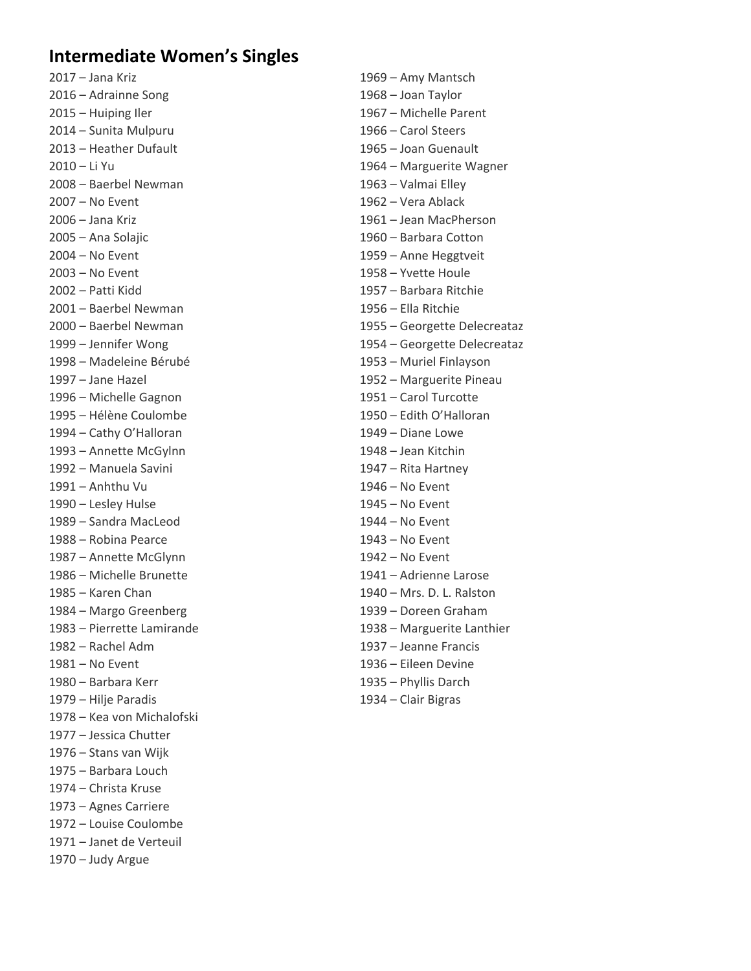### **Intermediate Women's Singles**

2017 – Jana Kriz 1969 – Amy Mantsch 2016 – Adrainne Song 1968 – Joan Taylor 2015 – Huiping Iler 1967 – Michelle Parent 2014 – Sunita Mulpuru 1966 – Carol Steers 2013 – Heather Dufault 1965 – Joan Guenault 2008 – Baerbel Newman 1963 – Valmai Elley 2007 – No Event 1962 – Vera Ablack 2006 – Jana Kriz 1961 – Jean MacPherson 2005 – Ana Solajic 1960 – Barbara Cotton 2004 – No Event 1959 – Anne Heggtveit 2003 – No Event 1958 – Yvette Houle 2002 – Patti Kidd 1957 – Barbara Ritchie 2001 – Baerbel Newman 1956 – Ella Ritchie 1998 – Madeleine Bérubé 1953 – Muriel Finlayson 1997 – Jane Hazel 1952 – Marguerite Pineau 1996 – Michelle Gagnon 1951 – Carol Turcotte 1995 – Hélène Coulombe 1950 – Edith O'Halloran 1994 – Cathy O'Halloran 1949 – Diane Lowe 1993 – Annette McGylnn 1948 – Jean Kitchin 1992 – Manuela Savini 1947 – Rita Hartney 1991 – Anhthu Vu 1946 – No Event 1990 – Lesley Hulse 1945 – No Event 1989 – Sandra MacLeod 1944 – No Event 1988 – Robina Pearce 1943 – No Event 1987 – Annette McGlynn 1942 – No Event 1986 – Michelle Brunette 1941 – Adrienne Larose 1985 – Karen Chan 1940 – Mrs. D. L. Ralston 1984 – Margo Greenberg 1939 – Doreen Graham 1982 – Rachel Adm 1937 – Jeanne Francis 1981 – No Event 1936 – Eileen Devine 1980 – Barbara Kerr 1935 – Phyllis Darch 1979 – Hilje Paradis 1934 – Clair Bigras 1978 – Kea von Michalofski 1977 – Jessica Chutter 1976 – Stans van Wijk 1975 – Barbara Louch 1974 – Christa Kruse 1973 – Agnes Carriere 1972 – Louise Coulombe 1971 – Janet de Verteuil 1970 – Judy Argue

2010 – Li Yu 1964 – Marguerite Wagner 2000 – Baerbel Newman 1955 – Georgette Delecreataz 1999 – Jennifer Wong 1954 – Georgette Delecreataz 1983 – Pierrette Lamirande 1938 – Marguerite Lanthier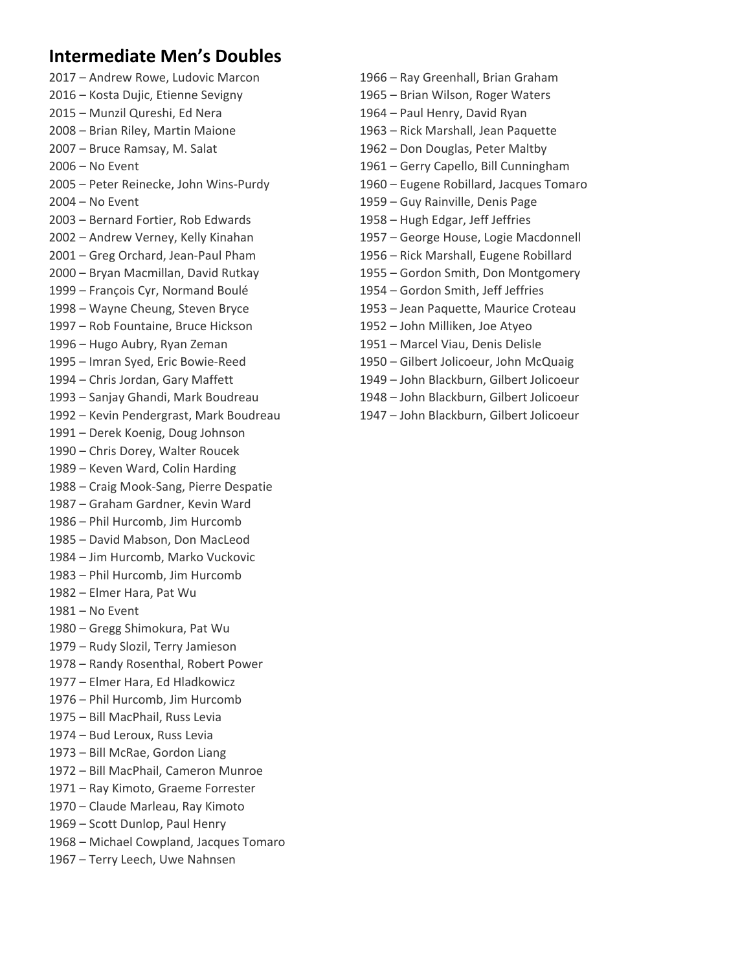# **Intermediate Men's Doubles**

2016 – Kosta Dujic, Etienne Sevigny 1965 – Brian Wilson, Roger Waters 2015 – Munzil Qureshi, Ed Nera 1964 – Paul Henry, David Ryan 2008 – Brian Riley, Martin Maione 1963 – Rick Marshall, Jean Paquette 2007 – Bruce Ramsay, M. Salat 1962 – Don Douglas, Peter Maltby 2006 – No Event 1961 – Gerry Capello, Bill Cunningham 2005 – Peter Reinecke, John Wins‐Purdy 1960 – Eugene Robillard, Jacques Tomaro 2004 – No Event 1959 – Guy Rainville, Denis Page 2003 – Bernard Fortier, Rob Edwards 1958 – Hugh Edgar, Jeff Jeffries 2002 – Andrew Verney, Kelly Kinahan 1957 – George House, Logie Macdonnell 2001 – Greg Orchard, Jean‐Paul Pham 1956 – Rick Marshall, Eugene Robillard 2000 – Bryan Macmillan, David Rutkay 1955 – Gordon Smith, Don Montgomery 1999 – François Cyr, Normand Boulé 1954 – Gordon Smith, Jeff Jeffries 1998 – Wayne Cheung, Steven Bryce 1953 – Jean Paquette, Maurice Croteau 1997 – Rob Fountaine, Bruce Hickson 1952 – John Milliken, Joe Atyeo 1996 – Hugo Aubry, Ryan Zeman 1951 – Marcel Viau, Denis Delisle 1995 – Imran Syed, Eric Bowie‐Reed 1950 – Gilbert Jolicoeur, John McQuaig 1994 – Chris Jordan, Gary Maffett 1949 – John Blackburn, Gilbert Jolicoeur 1993 – Sanjay Ghandi, Mark Boudreau 1948 – John Blackburn, Gilbert Jolicoeur 1992 – Kevin Pendergrast, Mark Boudreau 1947 – John Blackburn, Gilbert Jolicoeur 1991 – Derek Koenig, Doug Johnson 1990 – Chris Dorey, Walter Roucek 1989 – Keven Ward, Colin Harding 1988 – Craig Mook‐Sang, Pierre Despatie 1987 – Graham Gardner, Kevin Ward 1986 – Phil Hurcomb, Jim Hurcomb 1985 – David Mabson, Don MacLeod 1984 – Jim Hurcomb, Marko Vuckovic 1983 – Phil Hurcomb, Jim Hurcomb 1982 – Elmer Hara, Pat Wu 1981 – No Event 1980 – Gregg Shimokura, Pat Wu 1979 – Rudy Slozil, Terry Jamieson 1978 – Randy Rosenthal, Robert Power 1977 – Elmer Hara, Ed Hladkowicz 1976 – Phil Hurcomb, Jim Hurcomb 1975 – Bill MacPhail, Russ Levia 1974 – Bud Leroux, Russ Levia 1973 – Bill McRae, Gordon Liang 1972 – Bill MacPhail, Cameron Munroe 1971 – Ray Kimoto, Graeme Forrester 1970 – Claude Marleau, Ray Kimoto 1969 – Scott Dunlop, Paul Henry 1968 – Michael Cowpland, Jacques Tomaro 1967 – Terry Leech, Uwe Nahnsen

- 2017 Andrew Rowe, Ludovic Marcon 1966 Ray Greenhall, Brian Graham
	-
	-
	-
	-
	-
	-
	-
	-
	-
	-
	-
	-
	-
	-
	-
	-
	-
	-
	-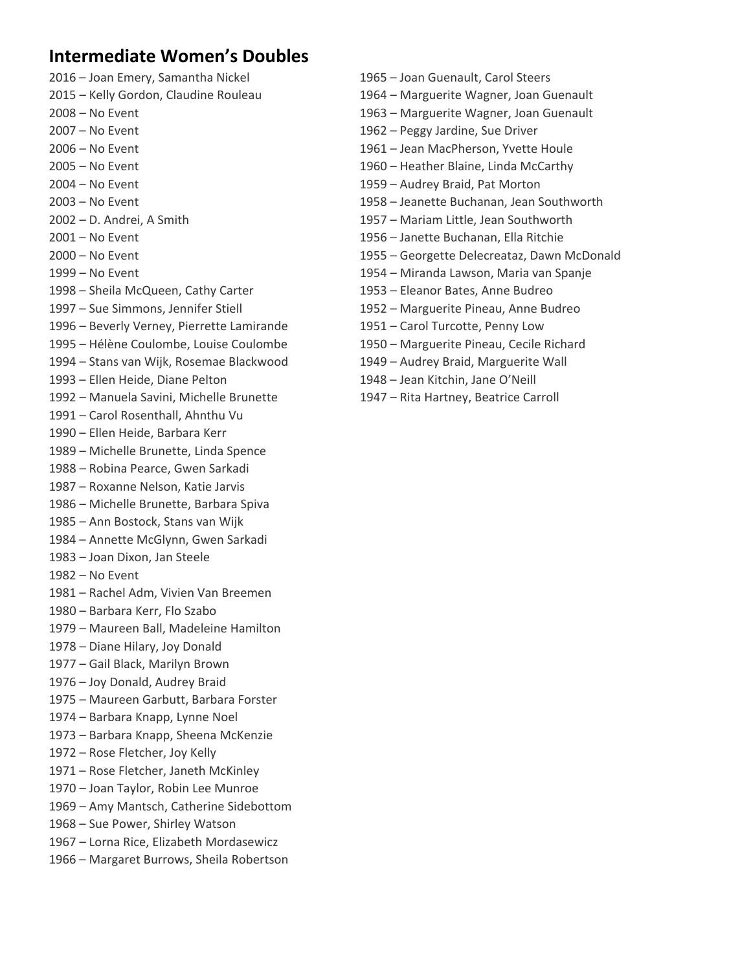## **Intermediate Women's Doubles**

- 
- 
- 
- 
- 
- 
- 
- 
- 
- 
- 
- 
- 1998 Sheila McQueen, Cathy Carter 1953 Eleanor Bates, Anne Budreo
- 
- 1996 Beverly Verney, Pierrette Lamirande 1951 Carol Turcotte, Penny Low
- 1995 Hélène Coulombe, Louise Coulombe 1950 Marguerite Pineau, Cecile Richard
- 1994 Stans van Wijk, Rosemae Blackwood 1949 Audrey Braid, Marguerite Wall
- 1993 Ellen Heide, Diane Pelton 1948 Jean Kitchin, Jane O'Neill
- 1992 Manuela Savini, Michelle Brunette 1947 Rita Hartney, Beatrice Carroll
- 1991 Carol Rosenthall, Ahnthu Vu
- 1990 Ellen Heide, Barbara Kerr
- 1989 Michelle Brunette, Linda Spence
- 1988 Robina Pearce, Gwen Sarkadi
- 1987 Roxanne Nelson, Katie Jarvis
- 1986 Michelle Brunette, Barbara Spiva
- 1985 Ann Bostock, Stans van Wijk
- 1984 Annette McGlynn, Gwen Sarkadi
- 1983 Joan Dixon, Jan Steele
- 1982 No Event
- 1981 Rachel Adm, Vivien Van Breemen
- 1980 Barbara Kerr, Flo Szabo
- 1979 Maureen Ball, Madeleine Hamilton
- 1978 Diane Hilary, Joy Donald
- 1977 Gail Black, Marilyn Brown
- 1976 Joy Donald, Audrey Braid
- 1975 Maureen Garbutt, Barbara Forster
- 1974 Barbara Knapp, Lynne Noel
- 1973 Barbara Knapp, Sheena McKenzie
- 1972 Rose Fletcher, Joy Kelly
- 1971 Rose Fletcher, Janeth McKinley
- 1970 Joan Taylor, Robin Lee Munroe
- 1969 Amy Mantsch, Catherine Sidebottom
- 1968 Sue Power, Shirley Watson
- 1967 Lorna Rice, Elizabeth Mordasewicz
- 1966 Margaret Burrows, Sheila Robertson
- 2016 Joan Emery, Samantha Nickel 1965 Joan Guenault, Carol Steers
- 2015 Kelly Gordon, Claudine Rouleau 1964 Marguerite Wagner, Joan Guenault
- 2008 No Event 1963 Marguerite Wagner, Joan Guenault
- 2007 No Event 1962 Peggy Jardine, Sue Driver
- 2006 No Event 1961 Jean MacPherson, Yvette Houle
- 2005 No Event 1960 Heather Blaine, Linda McCarthy
- 2004 No Event 1959 Audrey Braid, Pat Morton
- 2003 No Event 1958 Jeanette Buchanan, Jean Southworth
- 2002 D. Andrei, A Smith 1957 Mariam Little, Jean Southworth
- 2001 No Event 1956 Janette Buchanan, Ella Ritchie
- 2000 No Event 1955 Georgette Delecreataz, Dawn McDonald
- 1999 No Event 1954 Miranda Lawson, Maria van Spanje
	-
- 1997 Sue Simmons, Jennifer Stiell 1952 Marguerite Pineau, Anne Budreo
	-
	-
	- -
		-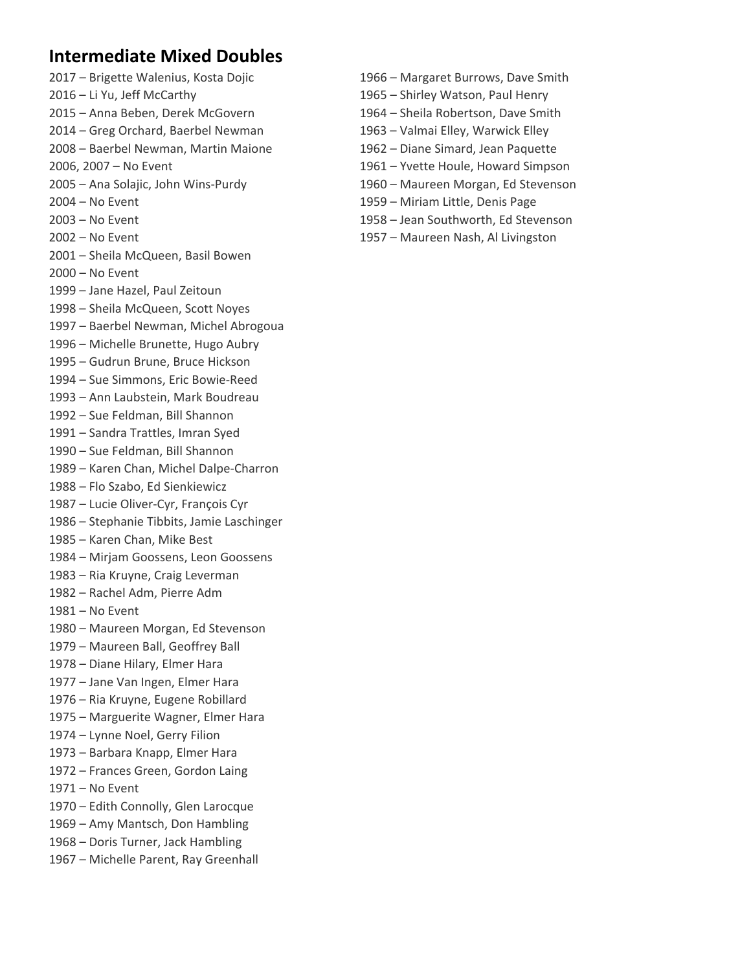# **Intermediate Mixed Doubles**

- 
- 
- 
- 2014 Greg Orchard, Baerbel Newman 1963 Valmai Elley, Warwick Elley
- 2008 Baerbel Newman, Martin Maione 1962 Diane Simard, Jean Paquette
- 
- 
- 
- 
- 
- 2001 Sheila McQueen, Basil Bowen
- 2000 No Event
- 1999 Jane Hazel, Paul Zeitoun
- 1998 Sheila McQueen, Scott Noyes
- 1997 Baerbel Newman, Michel Abrogoua
- 1996 Michelle Brunette, Hugo Aubry
- 1995 Gudrun Brune, Bruce Hickson
- 1994 Sue Simmons, Eric Bowie‐Reed
- 1993 Ann Laubstein, Mark Boudreau
- 1992 Sue Feldman, Bill Shannon
- 1991 Sandra Trattles, Imran Syed
- 1990 Sue Feldman, Bill Shannon
- 1989 Karen Chan, Michel Dalpe‐Charron
- 1988 Flo Szabo, Ed Sienkiewicz
- 1987 Lucie Oliver‐Cyr, François Cyr
- 1986 Stephanie Tibbits, Jamie Laschinger
- 1985 Karen Chan, Mike Best
- 1984 Mirjam Goossens, Leon Goossens
- 1983 Ria Kruyne, Craig Leverman
- 1982 Rachel Adm, Pierre Adm
- 1981 No Event
- 1980 Maureen Morgan, Ed Stevenson
- 1979 Maureen Ball, Geoffrey Ball
- 1978 Diane Hilary, Elmer Hara
- 1977 Jane Van Ingen, Elmer Hara
- 1976 Ria Kruyne, Eugene Robillard
- 1975 Marguerite Wagner, Elmer Hara
- 1974 Lynne Noel, Gerry Filion
- 1973 Barbara Knapp, Elmer Hara
- 1972 Frances Green, Gordon Laing
- 1971 No Event
- 1970 Edith Connolly, Glen Larocque
- 1969 Amy Mantsch, Don Hambling
- 1968 Doris Turner, Jack Hambling
- 1967 Michelle Parent, Ray Greenhall
- 2017 Brigette Walenius, Kosta Dojic 1966 Margaret Burrows, Dave Smith
- 2016 Li Yu, Jeff McCarthy 1965 Shirley Watson, Paul Henry
- 2015 Anna Beben, Derek McGovern 1964 Sheila Robertson, Dave Smith
	-
	-
- 2006, 2007 No Event 1961 Yvette Houle, Howard Simpson
- 2005 Ana Solajic, John Wins‐Purdy 1960 Maureen Morgan, Ed Stevenson
- 2004 No Event 1959 Miriam Little, Denis Page
- 2003 No Event 1958 Jean Southworth, Ed Stevenson
- 2002 No Event 1957 Maureen Nash, Al Livingston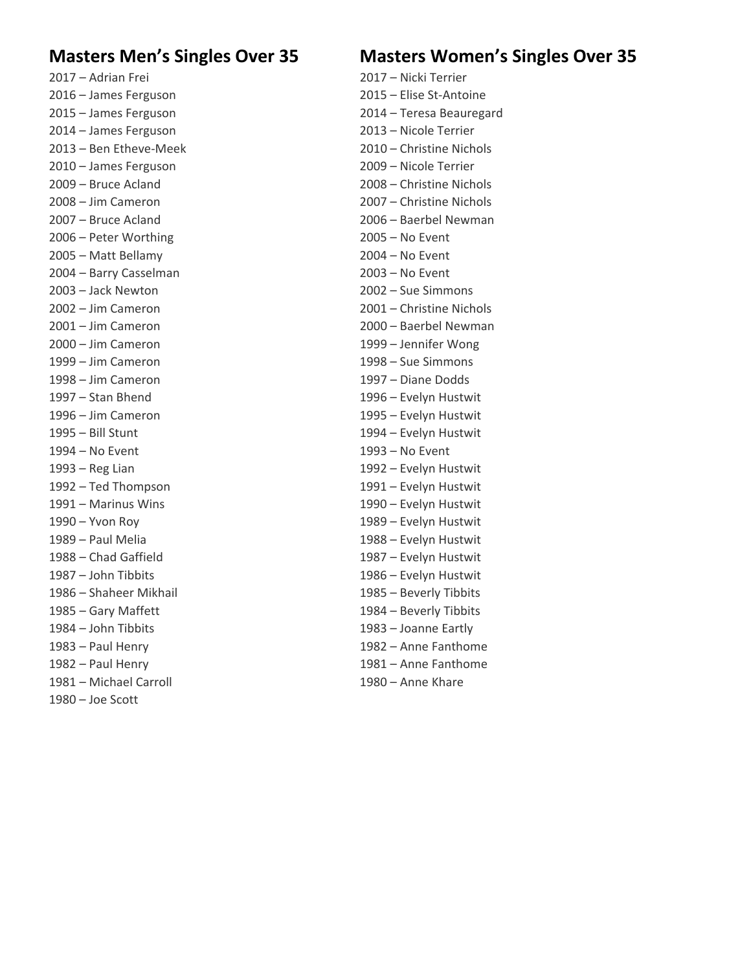2016 – James Ferguson 2015 – Elise St‐Antoine 2014 – James Ferguson 2013 – Nicole Terrier 2010 – James Ferguson 2009 – Nicole Terrier 2006 – Peter Worthing 2005 – No Event 2005 – Matt Bellamy 2004 – No Event 2004 – Barry Casselman 2003 – No Event 2003 – Jack Newton 2002 – Sue Simmons 2000 – Jim Cameron 1999 – Jennifer Wong 1999 – Jim Cameron 1998 – Sue Simmons 1998 – Jim Cameron 1997 – Diane Dodds 1997 – Stan Bhend 1996 – Evelyn Hustwit 1996 – Jim Cameron 1995 – Evelyn Hustwit 1995 – Bill Stunt 1994 – Evelyn Hustwit 1994 – No Event 1993 – No Event 1993 – Reg Lian 1992 – Evelyn Hustwit 1992 – Ted Thompson 1991 – Evelyn Hustwit 1991 – Marinus Wins 1990 – Evelyn Hustwit 1990 – Yvon Roy 1989 – Evelyn Hustwit 1989 – Paul Melia 1988 – Evelyn Hustwit 1988 – Chad Gaffield 1987 – Evelyn Hustwit 1987 – John Tibbits 1986 – Evelyn Hustwit 1986 – Shaheer Mikhail 1985 – Beverly Tibbits 1985 – Gary Maffett 1984 – Beverly Tibbits 1984 – John Tibbits 1983 – Joanne Eartly 1983 – Paul Henry 1982 – Anne Fanthome 1982 – Paul Henry 1981 – Anne Fanthome 1981 – Michael Carroll 1980 – Anne Khare 1980 – Joe Scott

## **Masters Men's Singles Over 35 Masters Women's Singles Over 35**

2017 – Adrian Frei 2017 – Nicki Terrier 2015 – James Ferguson 2014 – Teresa Beauregard 2013 – Ben Etheve‐Meek 2010 – Christine Nichols 2009 – Bruce Acland 2008 – Christine Nichols 2008 – Jim Cameron 2007 – Christine Nichols 2007 – Bruce Acland 2006 – Baerbel Newman 2002 – Jim Cameron 2001 – Christine Nichols 2001 – Jim Cameron 2000 – Baerbel Newman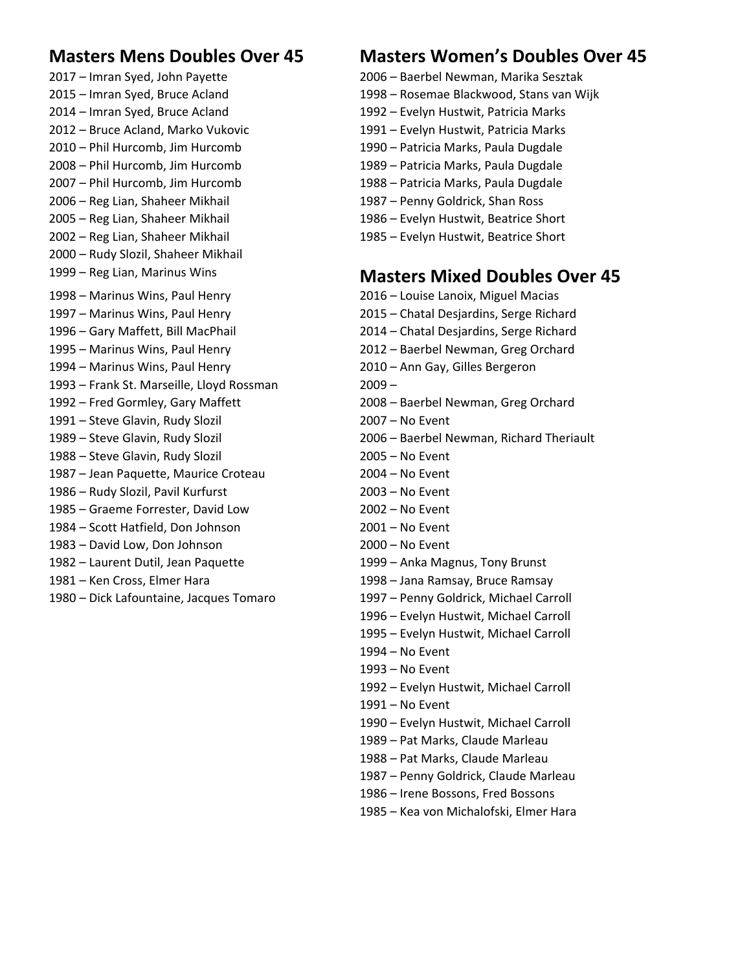2017 – Imran Syed, John Payette 2006 – Baerbel Newman, Marika Sesztak 2015 – Imran Syed, Bruce Acland 1998 – Rosemae Blackwood, Stans van Wijk 2014 – Imran Syed, Bruce Acland 1992 – Evelyn Hustwit, Patricia Marks 2012 – Bruce Acland, Marko Vukovic 1991 – Evelyn Hustwit, Patricia Marks 2010 – Phil Hurcomb, Jim Hurcomb 1990 – Patricia Marks, Paula Dugdale 2008 – Phil Hurcomb, Jim Hurcomb 1989 – Patricia Marks, Paula Dugdale 2007 – Phil Hurcomb, Jim Hurcomb 1988 – Patricia Marks, Paula Dugdale 2006 – Reg Lian, Shaheer Mikhail 1987 – Penny Goldrick, Shan Ross 2005 – Reg Lian, Shaheer Mikhail 1986 – Evelyn Hustwit, Beatrice Short 2002 – Reg Lian, Shaheer Mikhail 1985 – Evelyn Hustwit, Beatrice Short 2000 – Rudy Slozil, Shaheer Mikhail 1998 – Marinus Wins, Paul Henry 2016 – Louise Lanoix, Miguel Macias 1997 – Marinus Wins, Paul Henry 2015 – Chatal Desjardins, Serge Richard 1996 – Gary Maffett, Bill MacPhail 2014 – Chatal Desjardins, Serge Richard 1995 – Marinus Wins, Paul Henry 2012 – Baerbel Newman, Greg Orchard 1994 – Marinus Wins, Paul Henry 2010 – Ann Gay, Gilles Bergeron 1993 – Frank St. Marseille, Lloyd Rossman 2009 – 1992 – Fred Gormley, Gary Maffett 2008 – Baerbel Newman, Greg Orchard 1991 – Steve Glavin, Rudy Slozil 2007 – No Event 1988 – Steve Glavin, Rudy Slozil 2005 – No Event 1987 – Jean Paquette, Maurice Croteau 2004 – No Event 1986 – Rudy Slozil, Pavil Kurfurst 2003 – No Event 1985 – Graeme Forrester, David Low 2002 – No Event 1984 – Scott Hatfield, Don Johnson 2001 – No Event 1983 – David Low, Don Johnson 2000 – No Event 1982 – Laurent Dutil, Jean Paquette 1999 – Anka Magnus, Tony Brunst 1981 – Ken Cross, Elmer Hara 1998 – Jana Ramsay, Bruce Ramsay 1980 – Dick Lafountaine, Jacques Tomaro 1997 – Penny Goldrick, Michael Carroll

# **Masters Mens Doubles Over 45 Masters Women's Doubles Over 45**

- 
- 
- 
- 
- 
- 
- 
- 
- 
- 

# 1999 – Reg Lian, Marinus Wins **Masters Mixed Doubles Over 45**

- 1989 Steve Glavin, Rudy Slozil 2006 Baerbel Newman, Richard Theriault 1996 – Evelyn Hustwit, Michael Carroll 1995 – Evelyn Hustwit, Michael Carroll 1994 – No Event 1993 – No Event 1992 – Evelyn Hustwit, Michael Carroll 1991 – No Event 1990 – Evelyn Hustwit, Michael Carroll 1989 – Pat Marks, Claude Marleau 1988 – Pat Marks, Claude Marleau 1987 – Penny Goldrick, Claude Marleau 1986 – Irene Bossons, Fred Bossons
	- 1985 Kea von Michalofski, Elmer Hara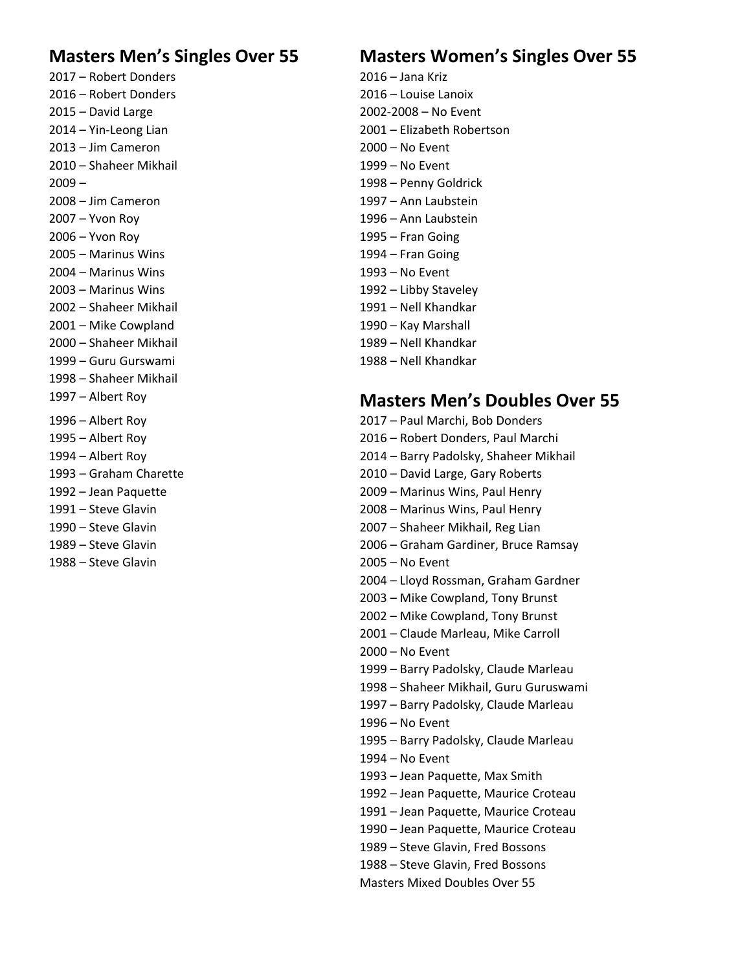2017 – Robert Donders 2016 – Jana Kriz 2016 – Robert Donders 2016 – Louise Lanoix 2015 – David Large 2002‐2008 – No Event 2013 – Jim Cameron 2000 – No Event 2010 – Shaheer Mikhail 1999 – No Event 2009 – 1998 – Penny Goldrick 2008 – Jim Cameron 1997 – Ann Laubstein 2007 – Yvon Roy 1996 – Ann Laubstein 2006 – Yvon Roy 1995 – Fran Going 2005 – Marinus Wins 1994 – Fran Going 2004 – Marinus Wins 1993 – No Event 2003 – Marinus Wins 1992 – Libby Staveley 2002 – Shaheer Mikhail 1991 – Nell Khandkar 2001 – Mike Cowpland 1990 – Kay Marshall 2000 – Shaheer Mikhail 1989 – Nell Khandkar 1999 – Guru Gurswami 1988 – Nell Khandkar 1998 – Shaheer Mikhail

1988 – Steve Glavin 2005 – No Event

# **Masters Men's Singles Over 55 Masters Women's Singles Over 55**

2014 – Yin‐Leong Lian 2001 – Elizabeth Robertson

### 1997 – Albert Roy **Masters Men's Doubles Over 55**

1996 – Albert Roy 2017 – Paul Marchi, Bob Donders 1995 – Albert Roy 2016 – Robert Donders, Paul Marchi 1994 – Albert Roy 2014 – Barry Padolsky, Shaheer Mikhail 1993 – Graham Charette 2010 – David Large, Gary Roberts 1992 – Jean Paquette 2009 – Marinus Wins, Paul Henry 1991 – Steve Glavin 2008 – Marinus Wins, Paul Henry 1990 – Steve Glavin 2007 – Shaheer Mikhail, Reg Lian 1989 – Steve Glavin 2006 – Graham Gardiner, Bruce Ramsay 2004 – Lloyd Rossman, Graham Gardner 2003 – Mike Cowpland, Tony Brunst 2002 – Mike Cowpland, Tony Brunst 2001 – Claude Marleau, Mike Carroll 2000 – No Event 1999 – Barry Padolsky, Claude Marleau 1998 – Shaheer Mikhail, Guru Guruswami 1997 – Barry Padolsky, Claude Marleau 1996 – No Event 1995 – Barry Padolsky, Claude Marleau 1994 – No Event 1993 – Jean Paquette, Max Smith 1992 – Jean Paquette, Maurice Croteau 1991 – Jean Paquette, Maurice Croteau 1990 – Jean Paquette, Maurice Croteau 1989 – Steve Glavin, Fred Bossons 1988 – Steve Glavin, Fred Bossons Masters Mixed Doubles Over 55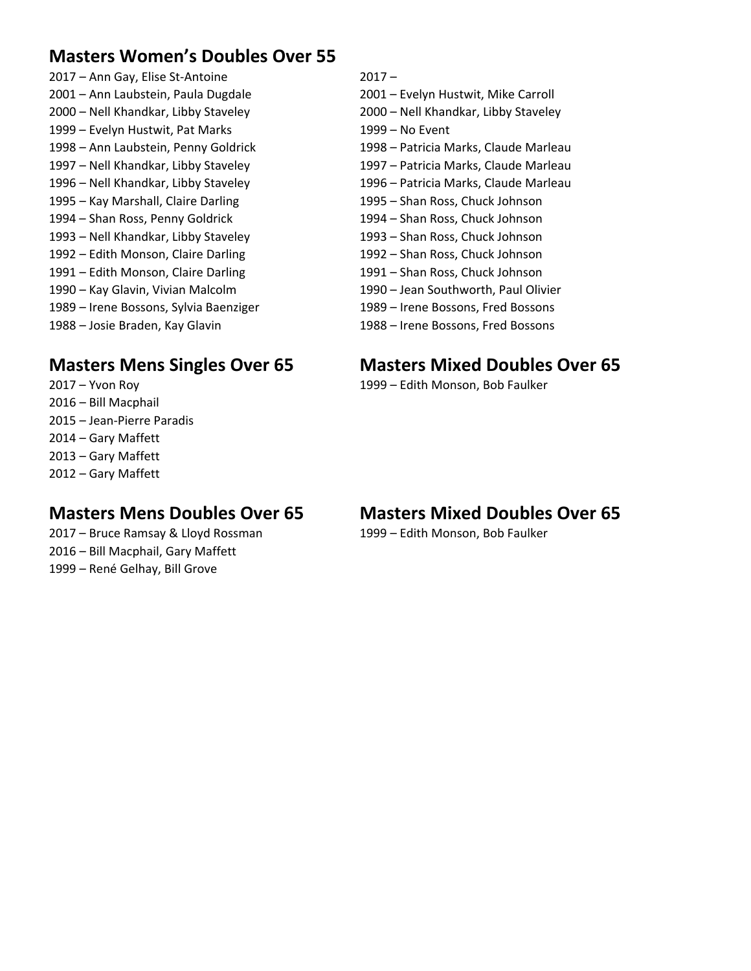# **Masters Women's Doubles Over 55**

2017 – Ann Gay, Elise St‐Antoine 2017 – 2001 – Ann Laubstein, Paula Dugdale 2001 – Evelyn Hustwit, Mike Carroll 2000 – Nell Khandkar, Libby Staveley 2000 – Nell Khandkar, Libby Staveley 1999 – Evelyn Hustwit, Pat Marks 1999 – No Event 1998 – Ann Laubstein, Penny Goldrick 1998 – Patricia Marks, Claude Marleau 1997 – Nell Khandkar, Libby Staveley 1997 – Patricia Marks, Claude Marleau 1996 – Nell Khandkar, Libby Staveley 1996 – Patricia Marks, Claude Marleau 1995 – Kay Marshall, Claire Darling 1995 – Shan Ross, Chuck Johnson 1994 – Shan Ross, Penny Goldrick 1994 – Shan Ross, Chuck Johnson 1993 – Nell Khandkar, Libby Staveley 1993 – Shan Ross, Chuck Johnson 1992 – Edith Monson, Claire Darling 1992 – Shan Ross, Chuck Johnson 1991 – Edith Monson, Claire Darling 1991 – Shan Ross, Chuck Johnson 1990 – Kay Glavin, Vivian Malcolm 1990 – Jean Southworth, Paul Olivier 1989 – Irene Bossons, Sylvia Baenziger 1989 – Irene Bossons, Fred Bossons 1988 – Josie Braden, Kay Glavin 1988 – Irene Bossons, Fred Bossons

### **Masters Mens Singles Over 65 Masters Mixed Doubles Over 65**

2016 – Bill Macphail 2015 – Jean‐Pierre Paradis 2014 – Gary Maffett 2013 – Gary Maffett 2012 – Gary Maffett

2017 – Bruce Ramsay & Lloyd Rossman 1999 – Edith Monson, Bob Faulker 2016 – Bill Macphail, Gary Maffett 1999 – René Gelhay, Bill Grove

- 
- 
- 
- 
- 
- 
- 
- 
- 
- 
- 
- 
- 
- 

2017 – Yvon Roy 1999 – Edith Monson, Bob Faulker

### **Masters Mens Doubles Over 65 Masters Mixed Doubles Over 65**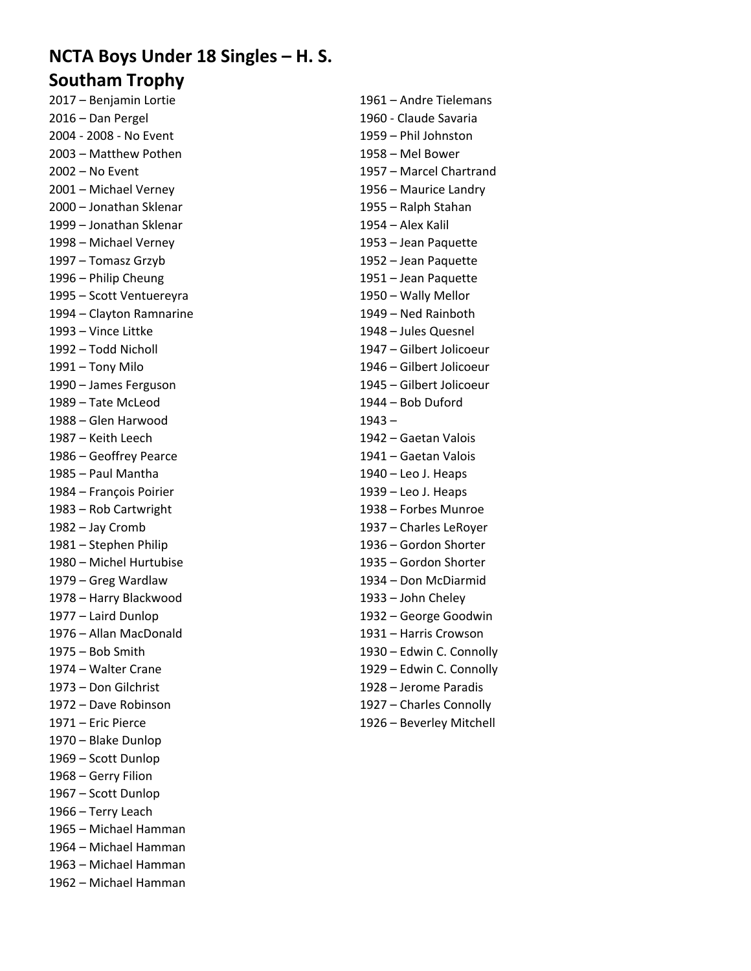# **NCTA Boys Under 18 Singles – H. S. Southam Trophy**

2017 – Benjamin Lortie 1961 – Andre Tielemans 2016 – Dan Pergel 1960 ‐ Claude Savaria 2004 ‐ 2008 ‐ No Event 1959 – Phil Johnston 2003 – Matthew Pothen 1958 – Mel Bower 2002 – No Event 1957 – Marcel Chartrand 2001 – Michael Verney 1956 – Maurice Landry 2000 – Jonathan Sklenar 1955 – Ralph Stahan 1999 – Jonathan Sklenar 1954 – Alex Kalil 1998 – Michael Verney 1953 – Jean Paquette 1997 – Tomasz Grzyb 1952 – Jean Paquette 1996 – Philip Cheung 1951 – Jean Paquette 1995 – Scott Ventuereyra 1950 – Wally Mellor 1994 – Clayton Ramnarine 1949 – Ned Rainboth 1993 – Vince Littke 1948 – Jules Quesnel 1992 – Todd Nicholl 1947 – Gilbert Jolicoeur 1991 – Tony Milo 1946 – Gilbert Jolicoeur 1990 – James Ferguson 1945 – Gilbert Jolicoeur 1989 – Tate McLeod 1944 – Bob Duford 1988 – Glen Harwood 1943 – 1987 – Keith Leech 1942 – Gaetan Valois 1986 – Geoffrey Pearce 1941 – Gaetan Valois 1985 – Paul Mantha 1940 – Leo J. Heaps 1984 – François Poirier 1939 – Leo J. Heaps 1983 – Rob Cartwright 1938 – Forbes Munroe 1982 – Jay Cromb 1937 – Charles LeRoyer 1981 – Stephen Philip 1936 – Gordon Shorter 1980 – Michel Hurtubise 1935 – Gordon Shorter 1979 – Greg Wardlaw 1934 – Don McDiarmid 1978 – Harry Blackwood 1933 – John Cheley 1977 – Laird Dunlop 1932 – George Goodwin 1976 – Allan MacDonald 1931 – Harris Crowson 1973 – Don Gilchrist 1928 – Jerome Paradis 1972 – Dave Robinson 1927 – Charles Connolly 1971 – Eric Pierce 1926 – Beverley Mitchell 1970 – Blake Dunlop 1969 – Scott Dunlop 1968 – Gerry Filion 1967 – Scott Dunlop 1966 – Terry Leach 1965 – Michael Hamman 1964 – Michael Hamman 1963 – Michael Hamman

1962 – Michael Hamman

1975 – Bob Smith 1930 – Edwin C. Connolly 1974 – Walter Crane 1929 – Edwin C. Connolly